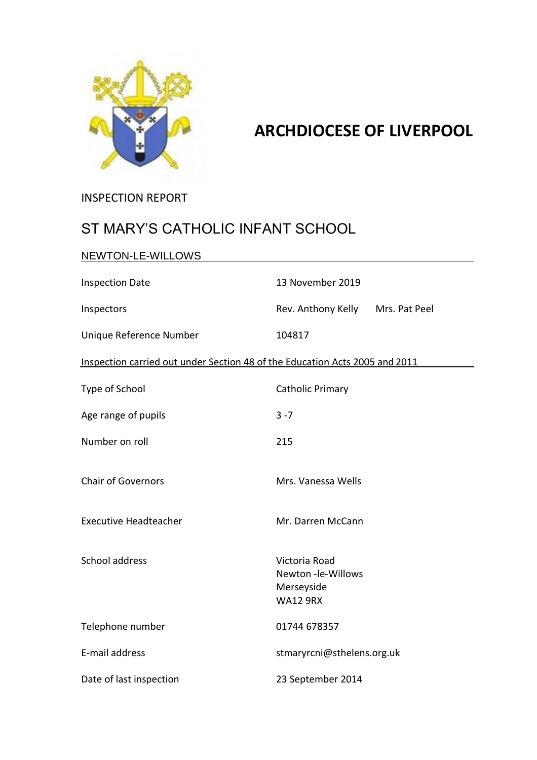

# **ARCHDIOCESE OF LIVERPOOL**

INSPECTION REPORT

# ST MARY'S CATHOLIC INFANT SCHOOL

| NEWTON-LE-WILLOWS                                                           |                                                                      |
|-----------------------------------------------------------------------------|----------------------------------------------------------------------|
| <b>Inspection Date</b>                                                      | 13 November 2019                                                     |
| Inspectors                                                                  | Rev. Anthony Kelly<br>Mrs. Pat Peel                                  |
| Unique Reference Number                                                     | 104817                                                               |
| Inspection carried out under Section 48 of the Education Acts 2005 and 2011 |                                                                      |
| Type of School                                                              | Catholic Primary                                                     |
| Age range of pupils                                                         | $3 - 7$                                                              |
| Number on roll                                                              | 215                                                                  |
| <b>Chair of Governors</b>                                                   | Mrs. Vanessa Wells                                                   |
| <b>Executive Headteacher</b>                                                | Mr. Darren McCann                                                    |
| School address                                                              | Victoria Road<br>Newton -le-Willows<br>Merseyside<br><b>WA12 9RX</b> |
| Telephone number                                                            | 01744 678357                                                         |
| E-mail address                                                              | stmaryrcni@sthelens.org.uk                                           |
| Date of last inspection                                                     | 23 September 2014                                                    |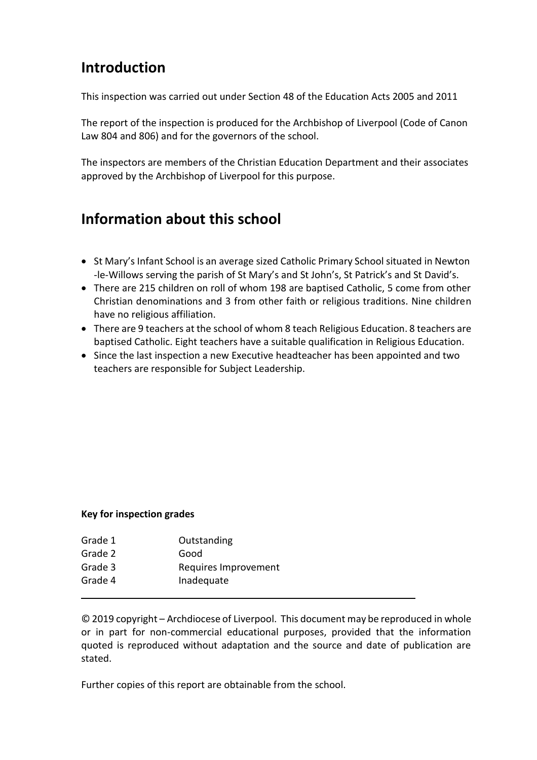# **Introduction**

This inspection was carried out under Section 48 of the Education Acts 2005 and 2011

The report of the inspection is produced for the Archbishop of Liverpool (Code of Canon Law 804 and 806) and for the governors of the school.

The inspectors are members of the Christian Education Department and their associates approved by the Archbishop of Liverpool for this purpose.

# **Information about this school**

- St Mary's Infant School is an average sized Catholic Primary School situated in Newton -le-Willows serving the parish of St Mary's and St John's, St Patrick's and St David's.
- There are 215 children on roll of whom 198 are baptised Catholic, 5 come from other Christian denominations and 3 from other faith or religious traditions. Nine children have no religious affiliation.
- There are 9 teachers at the school of whom 8 teach Religious Education. 8 teachers are baptised Catholic. Eight teachers have a suitable qualification in Religious Education.
- Since the last inspection a new Executive headteacher has been appointed and two teachers are responsible for Subject Leadership.

#### **Key for inspection grades**

| Grade 1 | Outstanding          |
|---------|----------------------|
| Grade 2 | Good                 |
| Grade 3 | Requires Improvement |
| Grade 4 | Inadequate           |
|         |                      |

© 2019 copyright – Archdiocese of Liverpool. This document may be reproduced in whole or in part for non-commercial educational purposes, provided that the information quoted is reproduced without adaptation and the source and date of publication are stated.

Further copies of this report are obtainable from the school.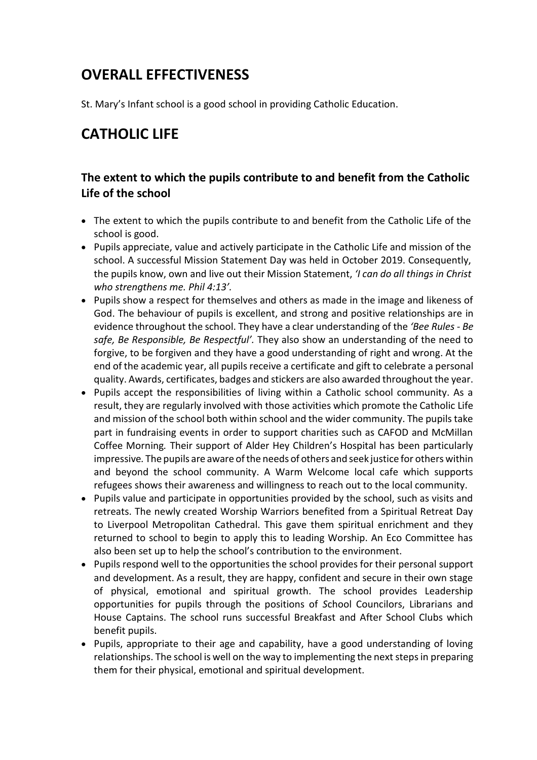# **OVERALL EFFECTIVENESS**

St. Mary's Infant school is a good school in providing Catholic Education.

# **CATHOLIC LIFE**

#### **The extent to which the pupils contribute to and benefit from the Catholic Life of the school**

- The extent to which the pupils contribute to and benefit from the Catholic Life of the school is good.
- Pupils appreciate, value and actively participate in the Catholic Life and mission of the school. A successful Mission Statement Day was held in October 2019. Consequently, the pupils know, own and live out their Mission Statement, *'I can do all things in Christ who strengthens me. Phil 4:13'.*
- Pupils show a respect for themselves and others as made in the image and likeness of God. The behaviour of pupils is excellent, and strong and positive relationships are in evidence throughout the school. They have a clear understanding of the *'Bee Rules - Be safe, Be Responsible, Be Respectful'.* They also show an understanding of the need to forgive, to be forgiven and they have a good understanding of right and wrong. At the end of the academic year, all pupils receive a certificate and gift to celebrate a personal quality. Awards, certificates, badges and stickers are also awarded throughout the year.
- Pupils accept the responsibilities of living within a Catholic school community. As a result, they are regularly involved with those activities which promote the Catholic Life and mission of the school both within school and the wider community. The pupils take part in fundraising events in order to support charities such as CAFOD and McMillan Coffee Morning*.* Their support of Alder Hey Children's Hospital has been particularly impressive*.* The pupils are aware ofthe needs of others and seek justice for others within and beyond the school community. A Warm Welcome local cafe which supports refugees shows their awareness and willingness to reach out to the local community.
- Pupils value and participate in opportunities provided by the school, such as visits and retreats. The newly created Worship Warriors benefited from a Spiritual Retreat Day to Liverpool Metropolitan Cathedral. This gave them spiritual enrichment and they returned to school to begin to apply this to leading Worship. An Eco Committee has also been set up to help the school's contribution to the environment.
- Pupils respond well to the opportunities the school provides for their personal support and development. As a result, they are happy, confident and secure in their own stage of physical, emotional and spiritual growth. The school provides Leadership opportunities for pupils through the positions of *S*chool Councilors, Librarians and House Captains. The school runs successful Breakfast and After School Clubs which benefit pupils.
- Pupils, appropriate to their age and capability, have a good understanding of loving relationships. The school is well on the way to implementing the next steps in preparing them for their physical, emotional and spiritual development.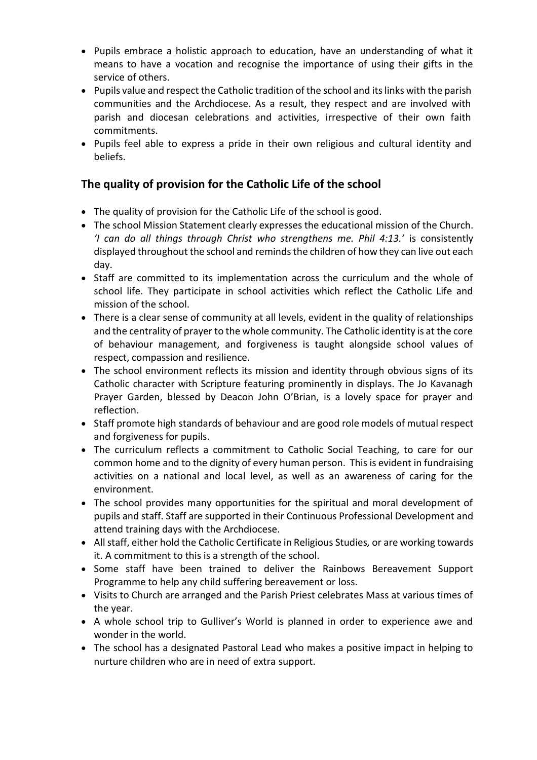- Pupils embrace a holistic approach to education, have an understanding of what it means to have a vocation and recognise the importance of using their gifts in the service of others.
- Pupils value and respect the Catholic tradition of the school and its links with the parish communities and the Archdiocese. As a result, they respect and are involved with parish and diocesan celebrations and activities, irrespective of their own faith commitments.
- Pupils feel able to express a pride in their own religious and cultural identity and beliefs.

#### **The quality of provision for the Catholic Life of the school**

- The quality of provision for the Catholic Life of the school is good.
- The school Mission Statement clearly expresses the educational mission of the Church. *'I can do all things through Christ who strengthens me. Phil 4:13.'* is consistently displayed throughout the school and remindsthe children of how they can live out each day.
- Staff are committed to its implementation across the curriculum and the whole of school life. They participate in school activities which reflect the Catholic Life and mission of the school.
- There is a clear sense of community at all levels, evident in the quality of relationships and the centrality of prayer to the whole community. The Catholic identity is at the core of behaviour management, and forgiveness is taught alongside school values of respect, compassion and resilience.
- The school environment reflects its mission and identity through obvious signs of its Catholic character with Scripture featuring prominently in displays. The Jo Kavanagh Prayer Garden, blessed by Deacon John O'Brian, is a lovely space for prayer and reflection.
- Staff promote high standards of behaviour and are good role models of mutual respect and forgiveness for pupils.
- The curriculum reflects a commitment to Catholic Social Teaching, to care for our common home and to the dignity of every human person. This is evident in fundraising activities on a national and local level, as well as an awareness of caring for the environment.
- The school provides many opportunities for the spiritual and moral development of pupils and staff. Staff are supported in their Continuous Professional Development and attend training days with the Archdiocese.
- Allstaff, either hold the Catholic Certificate in Religious Studies*,* or are working towards it. A commitment to this is a strength of the school.
- Some staff have been trained to deliver the Rainbows Bereavement Support Programme to help any child suffering bereavement or loss.
- Visits to Church are arranged and the Parish Priest celebrates Mass at various times of the year.
- A whole school trip to Gulliver's World is planned in order to experience awe and wonder in the world.
- The school has a designated Pastoral Lead who makes a positive impact in helping to nurture children who are in need of extra support.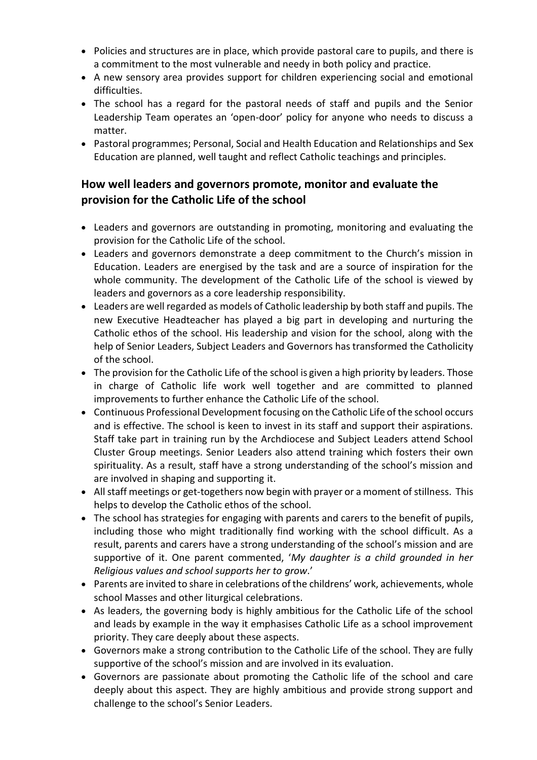- Policies and structures are in place, which provide pastoral care to pupils, and there is a commitment to the most vulnerable and needy in both policy and practice.
- A new sensory area provides support for children experiencing social and emotional difficulties.
- The school has a regard for the pastoral needs of staff and pupils and the Senior Leadership Team operates an 'open-door' policy for anyone who needs to discuss a matter.
- Pastoral programmes; Personal, Social and Health Education and Relationships and Sex Education are planned, well taught and reflect Catholic teachings and principles.

#### **How well leaders and governors promote, monitor and evaluate the provision for the Catholic Life of the school**

- Leaders and governors are outstanding in promoting, monitoring and evaluating the provision for the Catholic Life of the school.
- Leaders and governors demonstrate a deep commitment to the Church's mission in Education. Leaders are energised by the task and are a source of inspiration for the whole community. The development of the Catholic Life of the school is viewed by leaders and governors as a core leadership responsibility.
- Leaders are well regarded as models of Catholic leadership by both staff and pupils. The new Executive Headteacher has played a big part in developing and nurturing the Catholic ethos of the school. His leadership and vision for the school, along with the help of Senior Leaders, Subject Leaders and Governors hastransformed the Catholicity of the school.
- The provision for the Catholic Life of the school is given a high priority by leaders. Those in charge of Catholic life work well together and are committed to planned improvements to further enhance the Catholic Life of the school.
- Continuous Professional Development focusing on the Catholic Life of the school occurs and is effective. The school is keen to invest in its staff and support their aspirations. Staff take part in training run by the Archdiocese and Subject Leaders attend School Cluster Group meetings. Senior Leaders also attend training which fosters their own spirituality. As a result, staff have a strong understanding of the school's mission and are involved in shaping and supporting it.
- All staff meetings or get-togethers now begin with prayer or a moment of stillness. This helps to develop the Catholic ethos of the school.
- The school has strategies for engaging with parents and carers to the benefit of pupils, including those who might traditionally find working with the school difficult. As a result, parents and carers have a strong understanding of the school's mission and are supportive of it. One parent commented, '*My daughter is a child grounded in her Religious values and school supports her to grow*.'
- Parents are invited to share in celebrations ofthe childrens' work, achievements, whole school Masses and other liturgical celebrations.
- As leaders, the governing body is highly ambitious for the Catholic Life of the school and leads by example in the way it emphasises Catholic Life as a school improvement priority. They care deeply about these aspects.
- Governors make a strong contribution to the Catholic Life of the school. They are fully supportive of the school's mission and are involved in its evaluation.
- Governors are passionate about promoting the Catholic life of the school and care deeply about this aspect. They are highly ambitious and provide strong support and challenge to the school's Senior Leaders.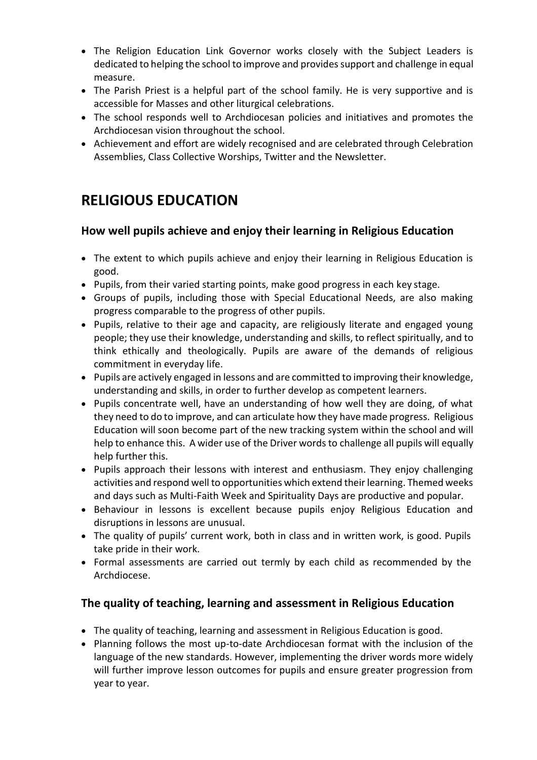- The Religion Education Link Governor works closely with the Subject Leaders is dedicated to helping the school to improve and provides support and challenge in equal measure.
- The Parish Priest is a helpful part of the school family. He is very supportive and is accessible for Masses and other liturgical celebrations.
- The school responds well to Archdiocesan policies and initiatives and promotes the Archdiocesan vision throughout the school.
- Achievement and effort are widely recognised and are celebrated through Celebration Assemblies, Class Collective Worships, Twitter and the Newsletter.

### **RELIGIOUS EDUCATION**

#### **How well pupils achieve and enjoy their learning in Religious Education**

- The extent to which pupils achieve and enjoy their learning in Religious Education is good.
- Pupils, from their varied starting points, make good progress in each key stage.
- Groups of pupils, including those with Special Educational Needs, are also making progress comparable to the progress of other pupils.
- Pupils, relative to their age and capacity, are religiously literate and engaged young people; they use their knowledge, understanding and skills, to reflect spiritually, and to think ethically and theologically. Pupils are aware of the demands of religious commitment in everyday life.
- Pupils are actively engaged in lessons and are committed to improving their knowledge, understanding and skills, in order to further develop as competent learners.
- Pupils concentrate well, have an understanding of how well they are doing, of what they need to do to improve, and can articulate how they have made progress. Religious Education will soon become part of the new tracking system within the school and will help to enhance this. A wider use of the Driver words to challenge all pupils will equally help further this.
- Pupils approach their lessons with interest and enthusiasm. They enjoy challenging activities and respond well to opportunities which extend their learning. Themed weeks and days such as Multi-Faith Week and Spirituality Days are productive and popular.
- Behaviour in lessons is excellent because pupils enjoy Religious Education and disruptions in lessons are unusual.
- The quality of pupils' current work, both in class and in written work, is good. Pupils take pride in their work.
- Formal assessments are carried out termly by each child as recommended by the Archdiocese.

### **The quality of teaching, learning and assessment in Religious Education**

- The quality of teaching, learning and assessment in Religious Education is good.
- Planning follows the most up-to-date Archdiocesan format with the inclusion of the language of the new standards. However, implementing the driver words more widely will further improve lesson outcomes for pupils and ensure greater progression from year to year.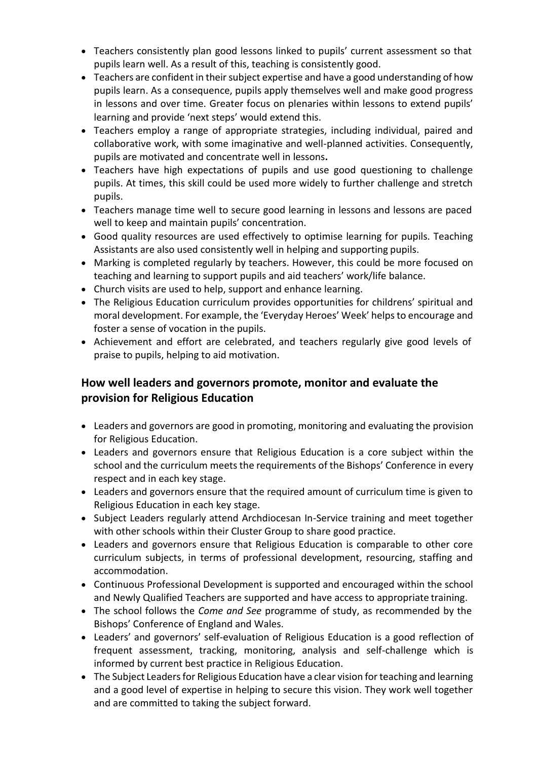- Teachers consistently plan good lessons linked to pupils' current assessment so that pupils learn well. As a result of this, teaching is consistently good.
- Teachers are confident in their subject expertise and have a good understanding of how pupils learn. As a consequence, pupils apply themselves well and make good progress in lessons and over time. Greater focus on plenaries within lessons to extend pupils' learning and provide 'next steps' would extend this.
- Teachers employ a range of appropriate strategies, including individual, paired and collaborative work, with some imaginative and well-planned activities. Consequently, pupils are motivated and concentrate well in lessons**.**
- Teachers have high expectations of pupils and use good questioning to challenge pupils. At times, this skill could be used more widely to further challenge and stretch pupils.
- Teachers manage time well to secure good learning in lessons and lessons are paced well to keep and maintain pupils' concentration.
- Good quality resources are used effectively to optimise learning for pupils. Teaching Assistants are also used consistently well in helping and supporting pupils.
- Marking is completed regularly by teachers. However, this could be more focused on teaching and learning to support pupils and aid teachers' work/life balance.
- Church visits are used to help, support and enhance learning.
- The Religious Education curriculum provides opportunities for childrens' spiritual and moral development. For example, the 'Everyday Heroes' Week' helps to encourage and foster a sense of vocation in the pupils.
- Achievement and effort are celebrated, and teachers regularly give good levels of praise to pupils, helping to aid motivation.

### **How well leaders and governors promote, monitor and evaluate the provision for Religious Education**

- Leaders and governors are good in promoting, monitoring and evaluating the provision for Religious Education.
- Leaders and governors ensure that Religious Education is a core subject within the school and the curriculum meets the requirements of the Bishops' Conference in every respect and in each key stage.
- Leaders and governors ensure that the required amount of curriculum time is given to Religious Education in each key stage.
- Subject Leaders regularly attend Archdiocesan In-Service training and meet together with other schools within their Cluster Group to share good practice.
- Leaders and governors ensure that Religious Education is comparable to other core curriculum subjects, in terms of professional development, resourcing, staffing and accommodation.
- Continuous Professional Development is supported and encouraged within the school and Newly Qualified Teachers are supported and have access to appropriate training.
- The school follows the *Come and See* programme of study, as recommended by the Bishops' Conference of England and Wales.
- Leaders' and governors' self-evaluation of Religious Education is a good reflection of frequent assessment, tracking, monitoring, analysis and self-challenge which is informed by current best practice in Religious Education.
- The Subject Leaders for Religious Education have a clear vision for teaching and learning and a good level of expertise in helping to secure this vision. They work well together and are committed to taking the subject forward.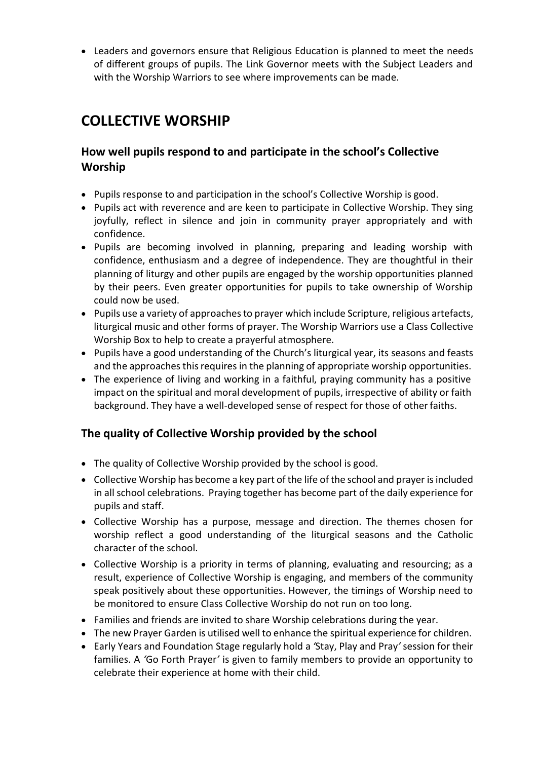Leaders and governors ensure that Religious Education is planned to meet the needs of different groups of pupils. The Link Governor meets with the Subject Leaders and with the Worship Warriors to see where improvements can be made.

### **COLLECTIVE WORSHIP**

#### **How well pupils respond to and participate in the school's Collective Worship**

- Pupils response to and participation in the school's Collective Worship is good.
- Pupils act with reverence and are keen to participate in Collective Worship. They sing joyfully, reflect in silence and join in community prayer appropriately and with confidence.
- Pupils are becoming involved in planning, preparing and leading worship with confidence, enthusiasm and a degree of independence. They are thoughtful in their planning of liturgy and other pupils are engaged by the worship opportunities planned by their peers. Even greater opportunities for pupils to take ownership of Worship could now be used.
- Pupils use a variety of approaches to prayer which include Scripture, religious artefacts, liturgical music and other forms of prayer. The Worship Warriors use a Class Collective Worship Box to help to create a prayerful atmosphere.
- Pupils have a good understanding of the Church's liturgical year, its seasons and feasts and the approaches this requires in the planning of appropriate worship opportunities.
- The experience of living and working in a faithful, praying community has a positive impact on the spiritual and moral development of pupils, irrespective of ability or faith background. They have a well-developed sense of respect for those of otherfaiths.

### **The quality of Collective Worship provided by the school**

- The quality of Collective Worship provided by the school is good.
- Collective Worship has become a key part of the life of the school and prayer is included in all school celebrations. Praying together has become part of the daily experience for pupils and staff.
- Collective Worship has a purpose, message and direction. The themes chosen for worship reflect a good understanding of the liturgical seasons and the Catholic character of the school.
- Collective Worship is a priority in terms of planning, evaluating and resourcing; as a result, experience of Collective Worship is engaging, and members of the community speak positively about these opportunities. However, the timings of Worship need to be monitored to ensure Class Collective Worship do not run on too long.
- Families and friends are invited to share Worship celebrations during the year.
- The new Prayer Garden is utilised well to enhance the spiritual experience for children.
- Early Years and Foundation Stage regularly hold a *'*Stay, Play and Pray*'* session for their families. A *'*Go Forth Prayer*'* is given to family members to provide an opportunity to celebrate their experience at home with their child.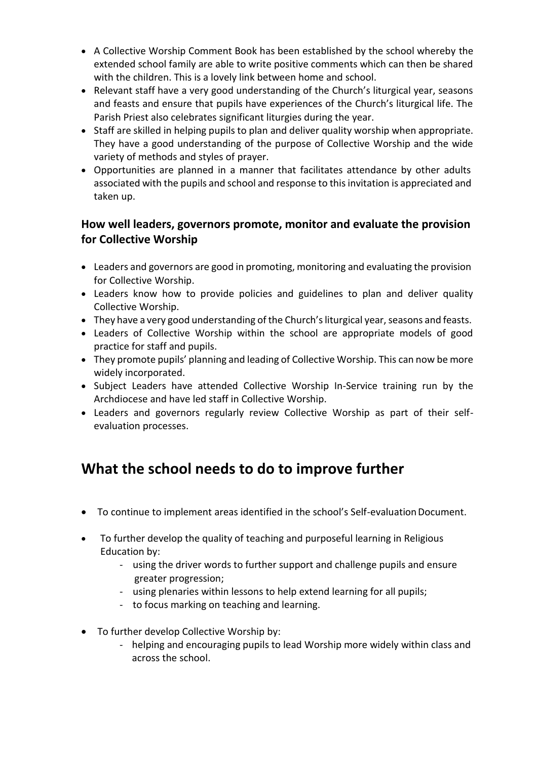- A Collective Worship Comment Book has been established by the school whereby the extended school family are able to write positive comments which can then be shared with the children. This is a lovely link between home and school.
- Relevant staff have a very good understanding of the Church's liturgical year, seasons and feasts and ensure that pupils have experiences of the Church's liturgical life. The Parish Priest also celebrates significant liturgies during the year.
- Staff are skilled in helping pupils to plan and deliver quality worship when appropriate. They have a good understanding of the purpose of Collective Worship and the wide variety of methods and styles of prayer.
- Opportunities are planned in a manner that facilitates attendance by other adults associated with the pupils and school and response to this invitation is appreciated and taken up.

#### **How well leaders, governors promote, monitor and evaluate the provision for Collective Worship**

- Leaders and governors are good in promoting, monitoring and evaluating the provision for Collective Worship.
- Leaders know how to provide policies and guidelines to plan and deliver quality Collective Worship.
- They have a very good understanding of the Church's liturgical year, seasons and feasts.
- Leaders of Collective Worship within the school are appropriate models of good practice for staff and pupils.
- They promote pupils' planning and leading of Collective Worship. This can now be more widely incorporated.
- Subject Leaders have attended Collective Worship In-Service training run by the Archdiocese and have led staff in Collective Worship.
- Leaders and governors regularly review Collective Worship as part of their selfevaluation processes.

# **What the school needs to do to improve further**

- To continue to implement areas identified in the school's Self-evaluationDocument.
- To further develop the quality of teaching and purposeful learning in Religious Education by:
	- using the driver words to further support and challenge pupils and ensure greater progression;
	- using plenaries within lessons to help extend learning for all pupils;
	- to focus marking on teaching and learning.
- To further develop Collective Worship by:
	- helping and encouraging pupils to lead Worship more widely within class and across the school.